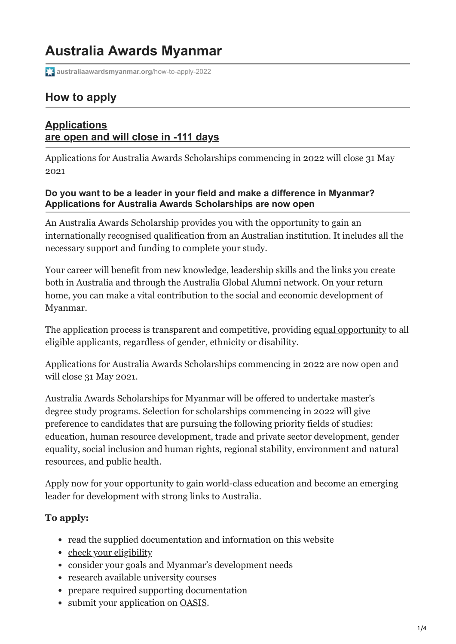# **Australia Awards Myanmar**

**[australiaawardsmyanmar.org](https://www.australiaawardsmyanmar.org/how-to-apply-2022/)**/how-to-apply-2022

# **How to apply**

## **Applications are open and will close in -111 days**

Applications for Australia Awards Scholarships commencing in 2022 will close 31 May 2021

#### **Do you want to be a leader in your field and make a difference in Myanmar? Applications for Australia Awards Scholarships are now open**

An Australia Awards Scholarship provides you with the opportunity to gain an internationally recognised qualification from an Australian institution. It includes all the necessary support and funding to complete your study.

Your career will benefit from new knowledge, leadership skills and the links you create both in Australia and through the Australia Global Alumni network. On your return home, you can make a vital contribution to the social and economic development of Myanmar.

The application process is transparent and competitive, providing [equal opportunity](https://australiaawardsmyanmar.org/gender-equality-disability-and-social-inclusion/) to all eligible applicants, regardless of gender, ethnicity or disability.

Applications for Australia Awards Scholarships commencing in 2022 are now open and will close 31 May 2021.

Australia Awards Scholarships for Myanmar will be offered to undertake master's degree study programs. Selection for scholarships commencing in 2022 will give preference to candidates that are pursuing the following priority fields of studies: education, human resource development, trade and private sector development, gender equality, social inclusion and human rights, regional stability, environment and natural resources, and public health.

Apply now for your opportunity to gain world-class education and become an emerging leader for development with strong links to Australia.

# **To apply:**

- read the supplied documentation and information on this website
- [check your eligibility](https://australiaawardsmyanmar.org/wp-content/uploads/2021/01/Eligibility_Checklist_Myanmar_2022.pdf)
- consider your goals and Myanmar's development needs
- research available university courses
- prepare required supporting documentation
- submit your application on **[OASIS](https://oasis.dfat.gov.au/)**.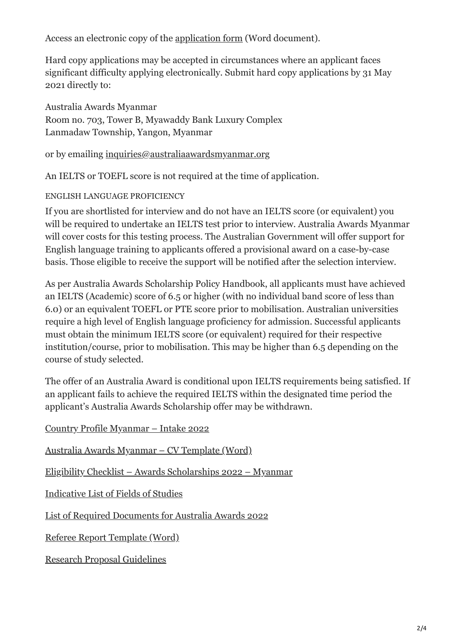Access an electronic copy of the [application form](https://australiaawardsmyanmar.org/wp-content/uploads/2021/01/Australia-Awards-Application-Form-2022-intake.docx) (Word document).

Hard copy applications may be accepted in circumstances where an applicant faces significant difficulty applying electronically. Submit hard copy applications by 31 May 2021 directly to:

Australia Awards Myanmar Room no. 703, Tower B, Myawaddy Bank Luxury Complex Lanmadaw Township, Yangon, Myanmar

#### or by emailing [inquiries@australiaawardsmyanmar.org](mailto:inquiries@australiaawardsmyanmar.org)

An IELTS or TOEFL score is not required at the time of application.

#### ENGLISH LANGUAGE PROFICIENCY

If you are shortlisted for interview and do not have an IELTS score (or equivalent) you will be required to undertake an IELTS test prior to interview. Australia Awards Myanmar will cover costs for this testing process. The Australian Government will offer support for English language training to applicants offered a provisional award on a case-by-case basis. Those eligible to receive the support will be notified after the selection interview.

As per Australia Awards Scholarship Policy Handbook, all applicants must have achieved an IELTS (Academic) score of 6.5 or higher (with no individual band score of less than 6.0) or an equivalent TOEFL or PTE score prior to mobilisation. Australian universities require a high level of English language proficiency for admission. Successful applicants must obtain the minimum IELTS score (or equivalent) required for their respective institution/course, prior to mobilisation. This may be higher than 6.5 depending on the course of study selected.

The offer of an Australia Award is conditional upon IELTS requirements being satisfied. If an applicant fails to achieve the required IELTS within the designated time period the applicant's Australia Awards Scholarship offer may be withdrawn.

| <u> Country Profile Myanmar – Intake 2022</u>                      |
|--------------------------------------------------------------------|
| <u> Australia Awards Myanmar – CV Template (Word)</u>              |
| <u> Eligibility Checklist – Awards Scholarships 2022 – Myanmar</u> |
| Indicative List of Fields of Studies                               |
| List of Required Documents for Australia Awards 2022               |
| <u>Referee Report Template (Word)</u>                              |
| <b>Research Proposal Guidelines</b>                                |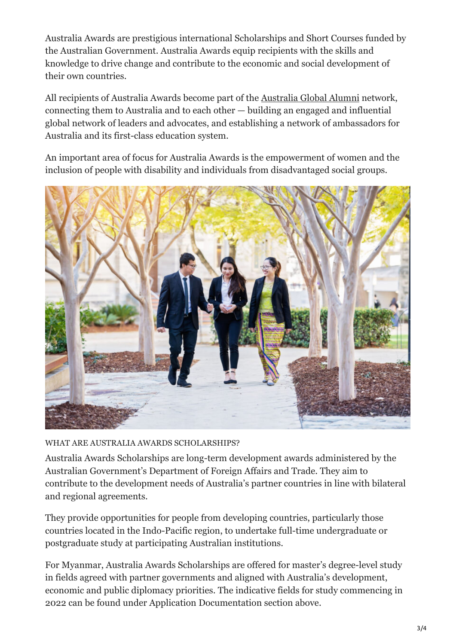Australia Awards are prestigious international Scholarships and Short Courses funded by the Australian Government. Australia Awards equip recipients with the skills and knowledge to drive change and contribute to the economic and social development of their own countries.

All recipients of Australia Awards become part of the [Australia Global Alumni](https://globalalumni.gov.au/) network, connecting them to Australia and to each other — building an engaged and influential global network of leaders and advocates, and establishing a network of ambassadors for Australia and its first-class education system.

An important area of focus for Australia Awards is the empowerment of women and the inclusion of people with disability and individuals from disadvantaged social groups.



WHAT ARE AUSTRALIA AWARDS SCHOLARSHIPS?

Australia Awards Scholarships are long-term development awards administered by the Australian Government's Department of Foreign Affairs and Trade. They aim to contribute to the development needs of Australia's partner countries in line with bilateral and regional agreements.

They provide opportunities for people from developing countries, particularly those countries located in the Indo-Pacific region, to undertake full-time undergraduate or postgraduate study at participating Australian institutions.

For Myanmar, Australia Awards Scholarships are offered for master's degree-level study in fields agreed with partner governments and aligned with Australia's development, economic and public diplomacy priorities. The indicative fields for study commencing in 2022 can be found under Application Documentation section above.